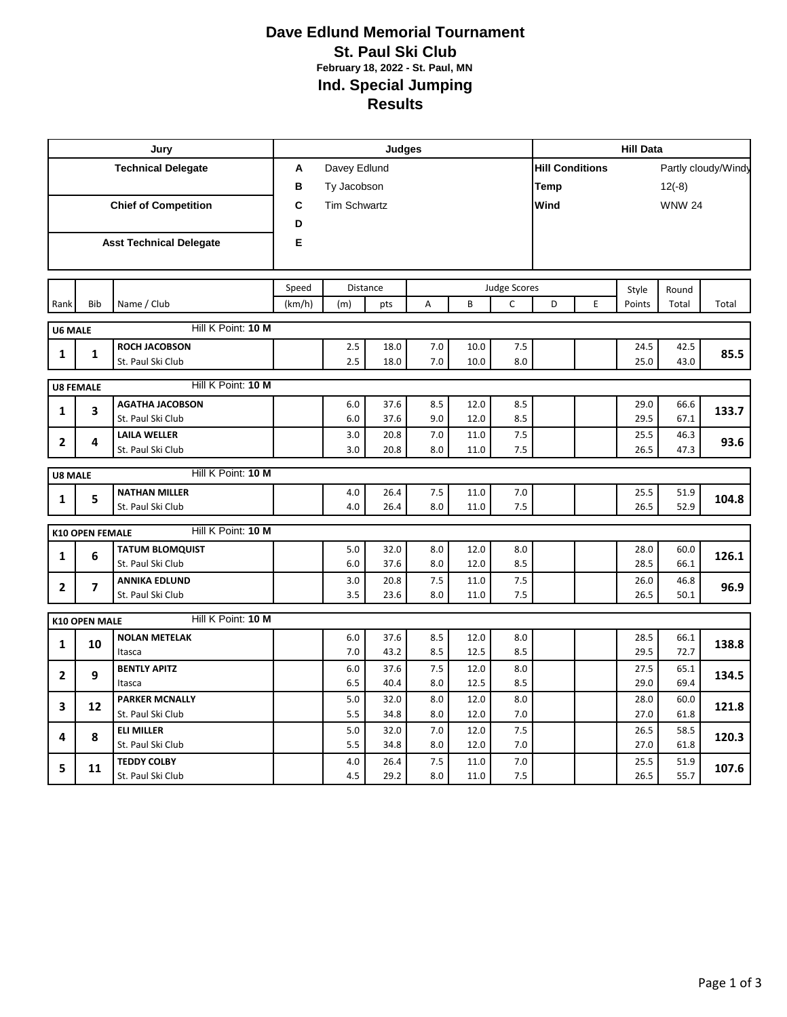## **Dave Edlund Memorial Tournament St. Paul Ski Club February 18, 2022 - St. Paul, MN Ind. Special Jumping Results**

|                             |                        | Jury                                    | <b>Judges</b>     |                     |              |            |              |                     |                                               | <b>Hill Data</b> |              |               |       |  |  |
|-----------------------------|------------------------|-----------------------------------------|-------------------|---------------------|--------------|------------|--------------|---------------------|-----------------------------------------------|------------------|--------------|---------------|-------|--|--|
| <b>Technical Delegate</b>   |                        |                                         | Davey Edlund<br>Α |                     |              |            |              |                     | <b>Hill Conditions</b><br>Partly cloudy/Windy |                  |              |               |       |  |  |
|                             |                        |                                         | в                 | Ty Jacobson         |              |            |              |                     |                                               |                  |              | $12(-8)$      |       |  |  |
| <b>Chief of Competition</b> |                        |                                         | C                 | <b>Tim Schwartz</b> |              |            |              |                     |                                               |                  |              | <b>WNW 24</b> |       |  |  |
|                             |                        |                                         | D                 |                     |              |            |              |                     |                                               |                  |              |               |       |  |  |
|                             |                        | <b>Asst Technical Delegate</b>          | Е                 |                     |              |            |              |                     |                                               |                  |              |               |       |  |  |
|                             |                        |                                         |                   |                     |              |            |              |                     |                                               |                  |              |               |       |  |  |
|                             |                        |                                         |                   |                     |              |            |              |                     |                                               |                  |              |               |       |  |  |
|                             |                        |                                         | Speed             |                     | Distance     |            |              | <b>Judge Scores</b> |                                               |                  | Style        | Round         |       |  |  |
| Rank                        | <b>Bib</b>             | Name / Club                             | (km/h)            | (m)                 | pts          | A          | B            | C                   | D                                             | E                | Points       | Total         | Total |  |  |
| <b>U6 MALE</b>              |                        | Hill K Point: 10 M                      |                   |                     |              |            |              |                     |                                               |                  |              |               |       |  |  |
| 1                           | $\mathbf{1}$           | <b>ROCH JACOBSON</b>                    |                   | 2.5                 | 18.0         | 7.0        | 10.0         | 7.5                 |                                               |                  | 24.5         | 42.5          | 85.5  |  |  |
|                             |                        | St. Paul Ski Club                       |                   | 2.5                 | 18.0         | 7.0        | 10.0         | 8.0                 |                                               |                  | 25.0         | 43.0          |       |  |  |
|                             | <b>U8 FEMALE</b>       | Hill K Point: 10 M                      |                   |                     |              |            |              |                     |                                               |                  |              |               |       |  |  |
|                             |                        | <b>AGATHA JACOBSON</b>                  |                   | 6.0                 | 37.6         | 8.5        | 12.0         | 8.5                 |                                               |                  | 29.0         | 66.6          |       |  |  |
| 1                           | 3                      | St. Paul Ski Club                       |                   | 6.0                 | 37.6         | 9.0        | 12.0         | 8.5                 |                                               |                  | 29.5         | 67.1          | 133.7 |  |  |
| $\mathbf{2}$                | 4                      | <b>LAILA WELLER</b>                     |                   | 3.0                 | 20.8         | 7.0        | 11.0         | 7.5                 |                                               |                  | 25.5         | 46.3          | 93.6  |  |  |
|                             |                        | St. Paul Ski Club                       |                   | 3.0                 | 20.8         | 8.0        | 11.0         | 7.5                 |                                               |                  | 26.5         | 47.3          |       |  |  |
| <b>U8 MALE</b>              |                        | Hill K Point: 10 M                      |                   |                     |              |            |              |                     |                                               |                  |              |               |       |  |  |
|                             |                        | <b>NATHAN MILLER</b>                    |                   | 4.0                 | 26.4         | 7.5        | 11.0         | 7.0                 |                                               |                  | 25.5         | 51.9          |       |  |  |
| $\mathbf{1}$                | 5                      | St. Paul Ski Club                       |                   | 4.0                 | 26.4         | 8.0        | 11.0         | 7.5                 |                                               |                  | 26.5         | 52.9          | 104.8 |  |  |
|                             | <b>K10 OPEN FEMALE</b> | Hill K Point: 10 M                      |                   |                     |              |            |              |                     |                                               |                  |              |               |       |  |  |
|                             |                        | <b>TATUM BLOMQUIST</b>                  |                   | 5.0                 | 32.0         | 8.0        | 12.0         | 8.0                 |                                               |                  | 28.0         | 60.0          |       |  |  |
| $\mathbf{1}$                | 6                      | St. Paul Ski Club                       |                   | 6.0                 | 37.6         | 8.0        | 12.0         | 8.5                 |                                               |                  | 28.5         | 66.1          | 126.1 |  |  |
| $\overline{2}$              | 7                      | <b>ANNIKA EDLUND</b>                    |                   | 3.0                 | 20.8         | 7.5        | 11.0         | 7.5                 |                                               |                  | 26.0         | 46.8          | 96.9  |  |  |
|                             |                        | St. Paul Ski Club                       |                   | 3.5                 | 23.6         | 8.0        | 11.0         | 7.5                 |                                               |                  | 26.5         | 50.1          |       |  |  |
|                             | <b>K10 OPEN MALE</b>   | Hill K Point: 10 M                      |                   |                     |              |            |              |                     |                                               |                  |              |               |       |  |  |
|                             |                        | <b>NOLAN METELAK</b>                    |                   | 6.0                 | 37.6         | 8.5        | 12.0         | 8.0                 |                                               |                  | 28.5         | 66.1          |       |  |  |
| $\mathbf{1}$                | 10                     | Itasca                                  |                   | 7.0                 | 43.2         | 8.5        | 12.5         | 8.5                 |                                               |                  | 29.5         | 72.7          | 138.8 |  |  |
| $\overline{2}$              | 9                      | <b>BENTLY APITZ</b>                     |                   | 6.0                 | 37.6         | 7.5        | 12.0         | 8.0                 |                                               |                  | 27.5         | 65.1          | 134.5 |  |  |
|                             |                        | Itasca                                  |                   | 6.5                 | 40.4         | 8.0        | 12.5         | 8.5                 |                                               |                  | 29.0         | 69.4          |       |  |  |
| 3                           | 12                     | <b>PARKER MCNALLY</b>                   |                   | 5.0                 | 32.0         | 8.0        | 12.0         | 8.0                 |                                               |                  | 28.0         | 60.0          | 121.8 |  |  |
|                             |                        | St. Paul Ski Club                       |                   | 5.5                 | 34.8         | 8.0        | 12.0         | 7.0                 |                                               |                  | 27.0         | 61.8          |       |  |  |
| 4                           | 8                      | <b>ELI MILLER</b>                       |                   | 5.0                 | 32.0         | 7.0        | 12.0         | 7.5                 |                                               |                  | 26.5         | 58.5          | 120.3 |  |  |
|                             |                        | St. Paul Ski Club                       |                   | 5.5                 | 34.8         | 8.0        | 12.0         | 7.0                 |                                               |                  | 27.0         | 61.8          |       |  |  |
| 5                           | 11                     | <b>TEDDY COLBY</b><br>St. Paul Ski Club |                   | 4.0<br>4.5          | 26.4<br>29.2 | 7.5<br>8.0 | 11.0<br>11.0 | 7.0<br>7.5          |                                               |                  | 25.5<br>26.5 | 51.9<br>55.7  | 107.6 |  |  |
|                             |                        |                                         |                   |                     |              |            |              |                     |                                               |                  |              |               |       |  |  |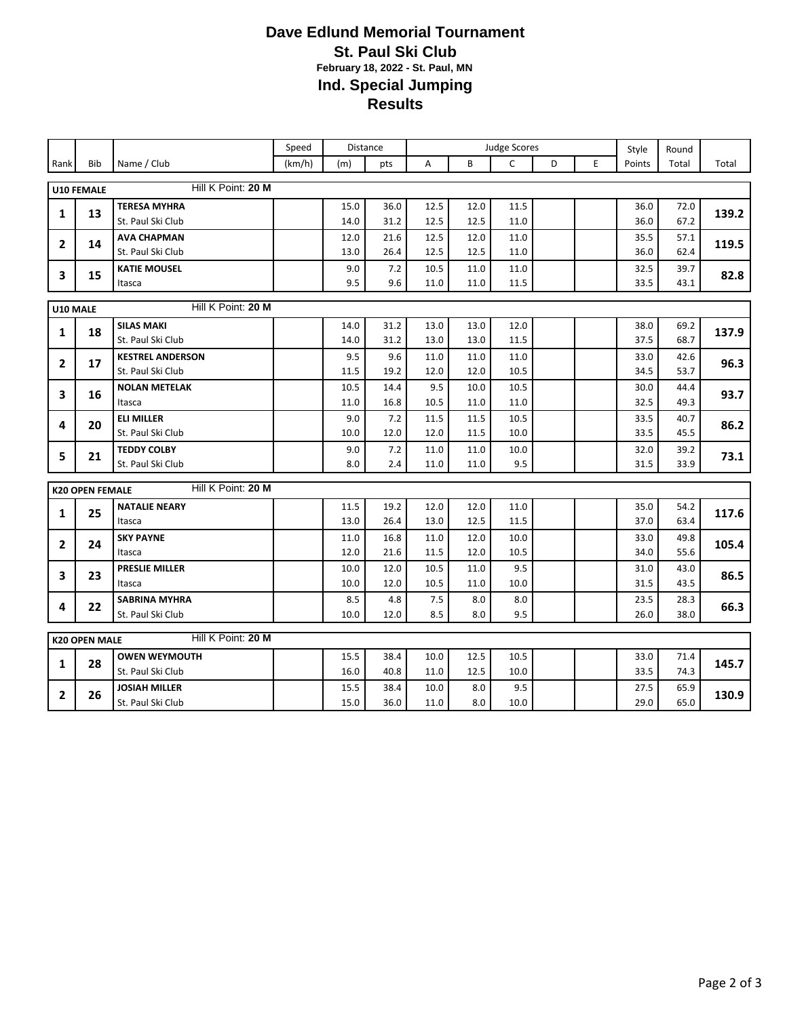## **Dave Edlund Memorial Tournament St. Paul Ski Club February 18, 2022 - St. Paul, MN Ind. Special Jumping Results**

|                                            |                        |                                           | Speed  |              | Distance     | <b>Judge Scores</b> |             |             |   |   | Style        | Round        |       |
|--------------------------------------------|------------------------|-------------------------------------------|--------|--------------|--------------|---------------------|-------------|-------------|---|---|--------------|--------------|-------|
| Rank                                       | <b>Bib</b>             | Name / Club                               | (km/h) | (m)          | pts          | A                   | B           | Ċ           | D | E | Points       | Total        | Total |
| Hill K Point: 20 M<br><b>U10 FEMALE</b>    |                        |                                           |        |              |              |                     |             |             |   |   |              |              |       |
|                                            |                        | <b>TERESA MYHRA</b>                       |        |              |              | 12.5                | 12.0        | 11.5        |   |   | 36.0         |              |       |
| 1                                          | 13                     | St. Paul Ski Club                         |        | 15.0<br>14.0 | 36.0<br>31.2 | 12.5                | 12.5        | 11.0        |   |   | 36.0         | 72.0<br>67.2 | 139.2 |
|                                            |                        | <b>AVA CHAPMAN</b>                        |        | 12.0         | 21.6         | 12.5                | 12.0        | 11.0        |   |   | 35.5         | 57.1         |       |
| $\mathbf{2}$                               | 14                     | St. Paul Ski Club                         |        | 13.0         | 26.4         | 12.5                | 12.5        | 11.0        |   |   | 36.0         | 62.4         | 119.5 |
|                                            |                        | <b>KATIE MOUSEL</b>                       |        | 9.0          | 7.2          | 10.5                | 11.0        | 11.0        |   |   | 32.5         | 39.7         |       |
| 3                                          | 15                     | Itasca                                    |        | 9.5          | 9.6          | 11.0                | 11.0        | 11.5        |   |   | 33.5         | 43.1         | 82.8  |
|                                            |                        |                                           |        |              |              |                     |             |             |   |   |              |              |       |
| U10 MALE                                   |                        | Hill K Point: 20 M                        |        |              |              |                     |             |             |   |   |              |              |       |
| 1                                          | 18                     | <b>SILAS MAKI</b>                         |        | 14.0         | 31.2         | 13.0                | 13.0        | 12.0        |   |   | 38.0         | 69.2         | 137.9 |
|                                            |                        | St. Paul Ski Club                         |        | 14.0         | 31.2         | 13.0                | 13.0        | 11.5        |   |   | 37.5         | 68.7         |       |
| $\mathbf{2}$                               | 17                     | <b>KESTREL ANDERSON</b>                   |        | 9.5          | 9.6          | 11.0                | 11.0        | 11.0        |   |   | 33.0         | 42.6         | 96.3  |
|                                            |                        | St. Paul Ski Club                         |        | 11.5         | 19.2         | 12.0                | 12.0        | 10.5        |   |   | 34.5         | 53.7         |       |
| 3                                          | 16                     | <b>NOLAN METELAK</b>                      |        | 10.5         | 14.4         | 9.5                 | 10.0        | 10.5        |   |   | 30.0         | 44.4         | 93.7  |
|                                            |                        | Itasca                                    |        | 11.0         | 16.8         | 10.5                | 11.0        | 11.0        |   |   | 32.5         | 49.3         |       |
| 4                                          | 20                     | <b>ELI MILLER</b>                         |        | 9.0          | 7.2          | 11.5                | 11.5        | 10.5        |   |   | 33.5         | 40.7         | 86.2  |
|                                            |                        | St. Paul Ski Club                         |        | 10.0         | 12.0         | 12.0                | 11.5        | 10.0        |   |   | 33.5         | 45.5         |       |
| 5                                          | 21                     | <b>TEDDY COLBY</b>                        |        | 9.0          | 7.2          | 11.0                | 11.0        | 10.0        |   |   | 32.0         | 39.2         | 73.1  |
|                                            |                        | St. Paul Ski Club                         |        | 8.0          | 2.4          | 11.0                | 11.0        | 9.5         |   |   | 31.5         | 33.9         |       |
|                                            | <b>K20 OPEN FEMALE</b> | Hill K Point: 20 M                        |        |              |              |                     |             |             |   |   |              |              |       |
|                                            |                        | <b>NATALIE NEARY</b>                      |        | 11.5         | 19.2         | 12.0                | 12.0        | 11.0        |   |   | 35.0         | 54.2         |       |
| 1                                          | 25                     | Itasca                                    |        | 13.0         | 26.4         | 13.0                | 12.5        | 11.5        |   |   | 37.0         | 63.4         | 117.6 |
|                                            |                        | <b>SKY PAYNE</b>                          |        | 11.0         | 16.8         | 11.0                | 12.0        | 10.0        |   |   | 33.0         | 49.8         |       |
| $\mathbf{2}$                               | 24                     | Itasca                                    |        | 12.0         | 21.6         | 11.5                | 12.0        | 10.5        |   |   | 34.0         | 55.6         | 105.4 |
|                                            | 23                     | <b>PRESLIE MILLER</b>                     |        | 10.0         | 12.0         | 10.5                | 11.0        | 9.5         |   |   | 31.0         | 43.0         | 86.5  |
| 3                                          |                        | Itasca                                    |        | 10.0         | 12.0         | 10.5                | 11.0        | 10.0        |   |   | 31.5         | 43.5         |       |
| 4                                          | 22                     | <b>SABRINA MYHRA</b>                      |        | 8.5          | 4.8          | 7.5                 | 8.0         | 8.0         |   |   | 23.5         | 28.3         | 66.3  |
|                                            |                        | St. Paul Ski Club                         |        | 10.0         | 12.0         | 8.5                 | 8.0         | 9.5         |   |   | 26.0         | 38.0         |       |
| Hill K Point: 20 M<br><b>K20 OPEN MALE</b> |                        |                                           |        |              |              |                     |             |             |   |   |              |              |       |
|                                            |                        |                                           |        |              |              |                     |             |             |   |   |              |              |       |
| 1                                          | 28                     | <b>OWEN WEYMOUTH</b>                      |        | 15.5         | 38.4         | 10.0                | 12.5        | 10.5        |   |   | 33.0         | 71.4         | 145.7 |
|                                            |                        |                                           |        |              |              |                     |             |             |   |   |              |              |       |
|                                            |                        | St. Paul Ski Club<br><b>JOSIAH MILLER</b> |        | 16.0<br>15.5 | 40.8<br>38.4 | 11.0<br>10.0        | 12.5<br>8.0 | 10.0<br>9.5 |   |   | 33.5<br>27.5 | 74.3<br>65.9 |       |